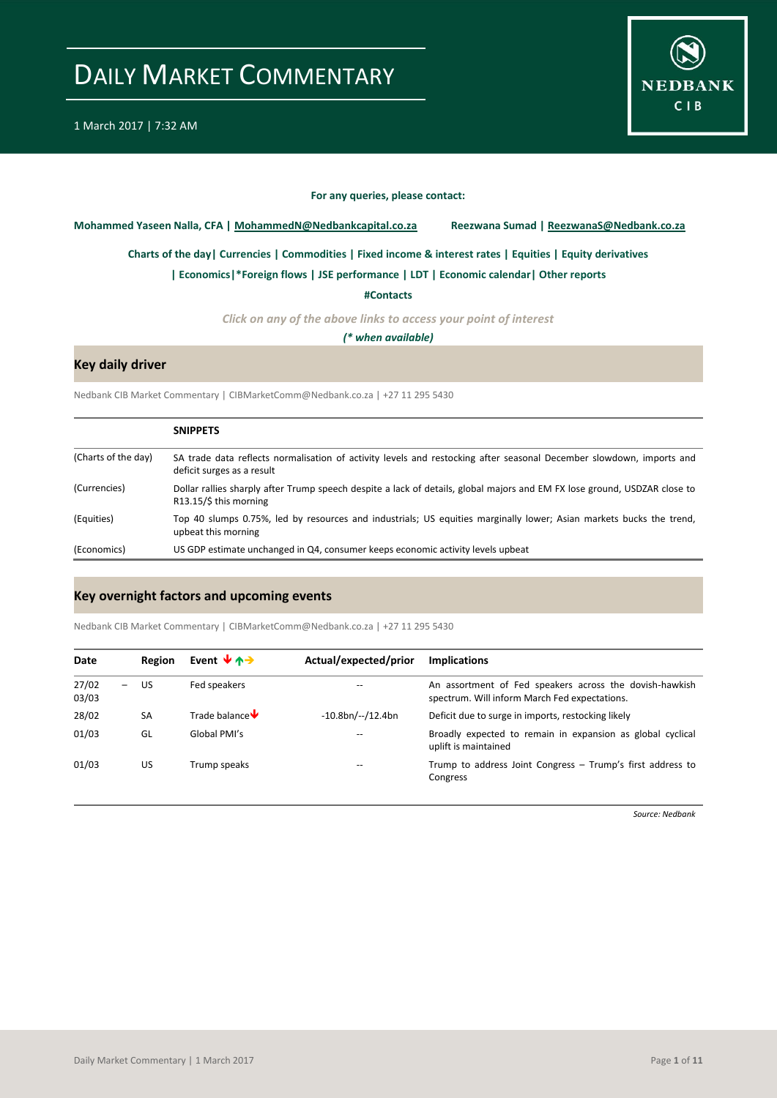

#### **For any queries, please contact:**

<span id="page-0-0"></span>**Mohammed Yaseen Nalla, CFA | MohammedN@Nedbankcapital.co.za Reezwana Sumad | ReezwanaS@Nedbank.co.za**

**[Charts of the day|](#page-1-0) [Currencies](#page-2-0) [| Commodities](#page-3-0) | [Fixed income & interest rates](#page-4-0) [| Equities](#page-5-0) | Equity derivatives**

**[| Economics|](#page-6-0)\*Foreign flows | [JSE performance](#page-7-0) | LDT [| Economic calendar|](#page-8-0) Other reports** 

**[#Contacts](#page-9-0)**

*Click on any of the above links to access your point of interest*

*(\* when available)*

### **Key daily driver**

Nedbank CIB Market Commentary | CIBMarketComm@Nedbank.co.za | +27 11 295 5430

|                     | <b>SNIPPETS</b>                                                                                                                                             |
|---------------------|-------------------------------------------------------------------------------------------------------------------------------------------------------------|
| (Charts of the day) | SA trade data reflects normalisation of activity levels and restocking after seasonal December slowdown, imports and<br>deficit surges as a result          |
| (Currencies)        | Dollar rallies sharply after Trump speech despite a lack of details, global majors and EM FX lose ground, USDZAR close to<br>$R13.15/\text{S}$ this morning |
| (Equities)          | Top 40 slumps 0.75%, led by resources and industrials; US equities marginally lower; Asian markets bucks the trend,<br>upbeat this morning                  |
| (Economics)         | US GDP estimate unchanged in Q4, consumer keeps economic activity levels upbeat                                                                             |

#### **Key overnight factors and upcoming events**

Nedbank CIB Market Commentary | CIBMarketComm@Nedbank.co.za | +27 11 295 5430

| Date           | Region    | Event $\forall$ $\land \rightarrow$ | Actual/expected/prior | <b>Implications</b>                                                                                      |
|----------------|-----------|-------------------------------------|-----------------------|----------------------------------------------------------------------------------------------------------|
| 27/02<br>03/03 | – US      | Fed speakers                        |                       | An assortment of Fed speakers across the dovish-hawkish<br>spectrum. Will inform March Fed expectations. |
| 28/02          | <b>SA</b> | Trade balance $\blacktriangleright$ | $-10.8bn/--/12.4bn$   | Deficit due to surge in imports, restocking likely                                                       |
| 01/03          | GL        | Global PMI's                        |                       | Broadly expected to remain in expansion as global cyclical<br>uplift is maintained                       |
| 01/03          | US        | Trump speaks                        |                       | Trump to address Joint Congress - Trump's first address to<br>Congress                                   |

*Source: Nedbank*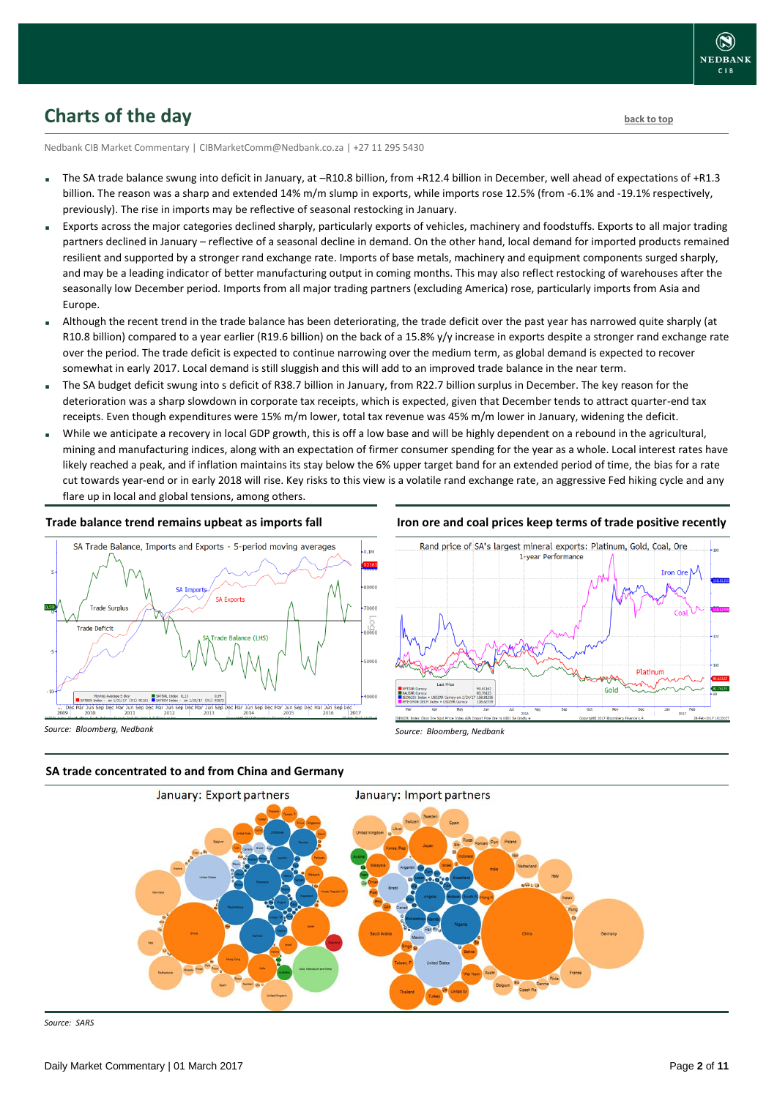

### <span id="page-1-0"></span>**Charts of the day** [back to top](#page-0-0) **back to top**

Nedbank CIB Market Commentary | CIBMarketComm@Nedbank.co.za | +27 11 295 5430

- The SA trade balance swung into deficit in January, at –R10.8 billion, from +R12.4 billion in December, well ahead of expectations of +R1.3 billion. The reason was a sharp and extended 14% m/m slump in exports, while imports rose 12.5% (from -6.1% and -19.1% respectively, previously). The rise in imports may be reflective of seasonal restocking in January.
- Exports across the major categories declined sharply, particularly exports of vehicles, machinery and foodstuffs. Exports to all major trading partners declined in January – reflective of a seasonal decline in demand. On the other hand, local demand for imported products remained resilient and supported by a stronger rand exchange rate. Imports of base metals, machinery and equipment components surged sharply, and may be a leading indicator of better manufacturing output in coming months. This may also reflect restocking of warehouses after the seasonally low December period. Imports from all major trading partners (excluding America) rose, particularly imports from Asia and Europe.
- Although the recent trend in the trade balance has been deteriorating, the trade deficit over the past year has narrowed quite sharply (at R10.8 billion) compared to a year earlier (R19.6 billion) on the back of a 15.8% y/y increase in exports despite a stronger rand exchange rate over the period. The trade deficit is expected to continue narrowing over the medium term, as global demand is expected to recover somewhat in early 2017. Local demand is still sluggish and this will add to an improved trade balance in the near term.
- The SA budget deficit swung into s deficit of R38.7 billion in January, from R22.7 billion surplus in December. The key reason for the deterioration was a sharp slowdown in corporate tax receipts, which is expected, given that December tends to attract quarter-end tax receipts. Even though expenditures were 15% m/m lower, total tax revenue was 45% m/m lower in January, widening the deficit.
- While we anticipate a recovery in local GDP growth, this is off a low base and will be highly dependent on a rebound in the agricultural, mining and manufacturing indices, along with an expectation of firmer consumer spending for the year as a whole. Local interest rates have likely reached a peak, and if inflation maintains its stay below the 6% upper target band for an extended period of time, the bias for a rate cut towards year-end or in early 2018 will rise. Key risks to this view is a volatile rand exchange rate, an aggressive Fed hiking cycle and any flare up in local and global tensions, among others.

#### **Trade balance trend remains upbeat as imports fall**



#### **Iron ore and coal prices keep terms of trade positive recently**







*Source: SARS*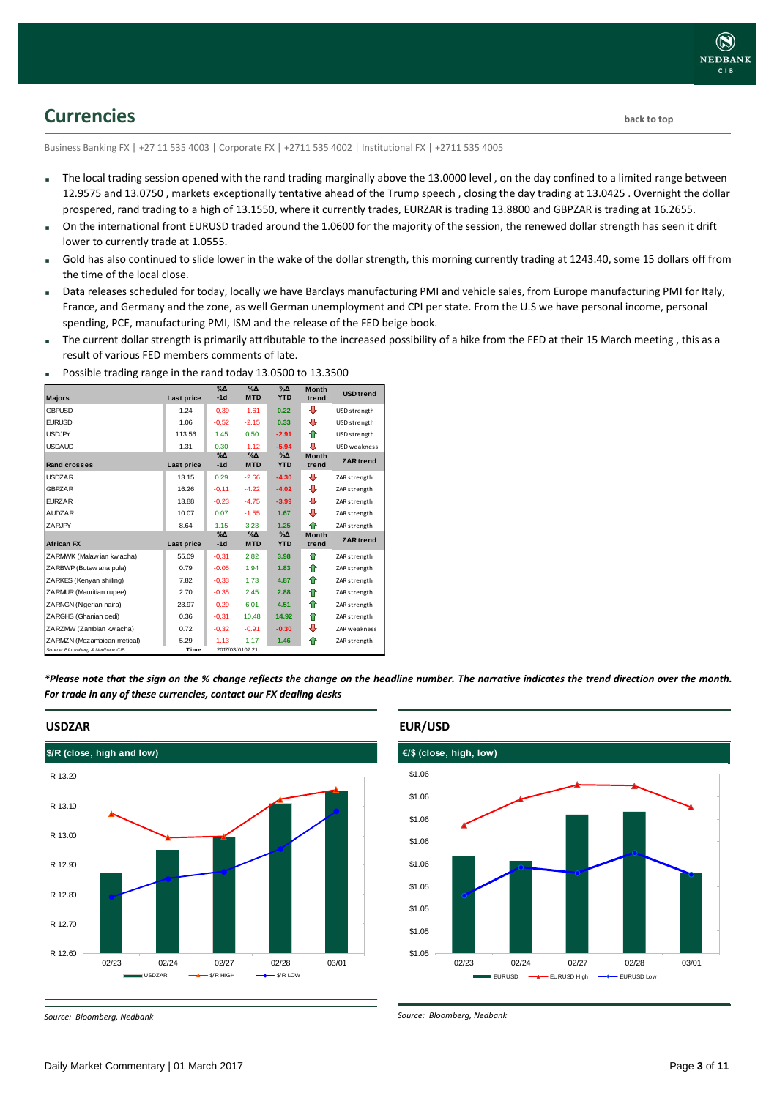### <span id="page-2-0"></span>**Currencies [back to top](#page-0-0)**

Business Banking FX | +27 11 535 4003 | Corporate FX | +2711 535 4002 | Institutional FX | +2711 535 4005

- The local trading session opened with the rand trading marginally above the 13.0000 level , on the day confined to a limited range between 12.9575 and 13.0750 , markets exceptionally tentative ahead of the Trump speech , closing the day trading at 13.0425 . Overnight the dollar prospered, rand trading to a high of 13.1550, where it currently trades, EURZAR is trading 13.8800 and GBPZAR is trading at 16.2655.
- On the international front EURUSD traded around the 1.0600 for the majority of the session, the renewed dollar strength has seen it drift lower to currently trade at 1.0555.
- Gold has also continued to slide lower in the wake of the dollar strength, this morning currently trading at 1243.40, some 15 dollars off from the time of the local close.
- Data releases scheduled for today, locally we have Barclays manufacturing PMI and vehicle sales, from Europe manufacturing PMI for Italy, France, and Germany and the zone, as well German unemployment and CPI per state. From the U.S we have personal income, personal spending, PCE, manufacturing PMI, ISM and the release of the FED beige book.
- The current dollar strength is primarily attributable to the increased possibility of a hike from the FED at their 15 March meeting , this as a result of various FED members comments of late.

| <b>Majors</b>                   | Last price | $\sqrt{2}$<br>$-1d$ | $\sqrt{\Delta}$<br><b>MTD</b> | $\%$ $\Delta$<br><b>YTD</b> | <b>Month</b><br>trend | <b>USD</b> trend    |
|---------------------------------|------------|---------------------|-------------------------------|-----------------------------|-----------------------|---------------------|
|                                 |            |                     |                               |                             |                       |                     |
| <b>GBPUSD</b>                   | 1.24       | $-0.39$             | $-1.61$                       | 0.22                        | ⊕                     | USD strength        |
| <b>EURUSD</b>                   | 1.06       | $-0.52$             | $-2.15$                       | 0.33                        | ⊕                     | USD strength        |
| <b>USDJPY</b>                   | 113.56     | 1.45                | 0.50                          | $-2.91$                     | ⇑                     | USD strength        |
| <b>USDAUD</b>                   | 1.31       | 0.30                | $-1.12$                       | $-5.94$                     | л                     | <b>USD</b> weakness |
|                                 |            | $\%$ $\Delta$       | $\% \Delta$                   | $\%$ $\Delta$               | <b>Month</b>          | <b>ZAR</b> trend    |
| <b>Rand crosses</b>             | Last price | $-1d$               | <b>MTD</b>                    | <b>YTD</b>                  | trend                 |                     |
| <b>USDZAR</b>                   | 13.15      | 0.29                | $-2.66$                       | $-4.30$                     | ⊕                     | ZAR strength        |
| <b>GBPZAR</b>                   | 16.26      | $-0.11$             | $-4.22$                       | $-4.02$                     | ⊕                     | ZAR strength        |
| <b>FURZAR</b>                   | 13.88      | $-0.23$             | $-4.75$                       | $-3.99$                     | ⊕                     | ZAR strength        |
| <b>AUDZAR</b>                   | 10.07      | 0.07                | $-1.55$                       | 1.67                        | ⊕                     | ZAR strength        |
| ZARJPY                          | 8.64       | 1.15                | 3.23                          | 1.25                        | ♠                     | ZAR strength        |
|                                 |            | $\%$ $\Delta$       | $\%$ $\Delta$                 | $\%$ $\Delta$               | <b>Month</b>          | <b>ZAR</b> trend    |
| <b>African FX</b>               | Last price | $-1d$               | <b>MTD</b>                    | <b>YTD</b>                  | trend                 |                     |
| ZARMWK (Malaw ian kw acha)      | 55.09      | $-0.31$             | 2.82                          | 3.98                        | ↟                     | ZAR strength        |
| ZARBWP (Botsw ana pula)         | 0.79       | $-0.05$             | 1.94                          | 1.83                        | ⇑                     | ZAR strength        |
| ZARKES (Kenyan shilling)        | 7.82       | $-0.33$             | 1.73                          | 4.87                        | ↟                     | ZAR strength        |
| ZARMUR (Mauritian rupee)        | 2.70       | $-0.35$             | 2.45                          | 2.88                        | ⇮                     | ZAR strength        |
| ZARNGN (Nigerian naira)         | 23.97      | $-0.29$             | 6.01                          | 4.51                        | ⇑                     | ZAR strength        |
| ZARGHS (Ghanian cedi)           | 0.36       | $-0.31$             | 10.48                         | 14.92                       | ♠                     | ZAR strength        |
| ZARZMW (Zambian kw acha)        | 0.72       | $-0.32$             | $-0.91$                       | $-0.30$                     | ⊕                     | ZAR weakness        |
| ZARMZN (Mozambican metical)     | 5.29       | $-1.13$             | 1.17                          | 1.46                        | ♠                     | ZAR strength        |
| Source: Bloomberg & Nedbank CIB | Time       |                     | 2017/03/0107:21               |                             |                       |                     |

Possible trading range in the rand today 13.0500 to 13.3500

*\*Please note that the sign on the % change reflects the change on the headline number. The narrative indicates the trend direction over the month. For trade in any of these currencies, contact our FX dealing desks*



*Source: Bloomberg, Nedbank*



#### **EUR/USD**

*Source: Bloomberg, Nedbank*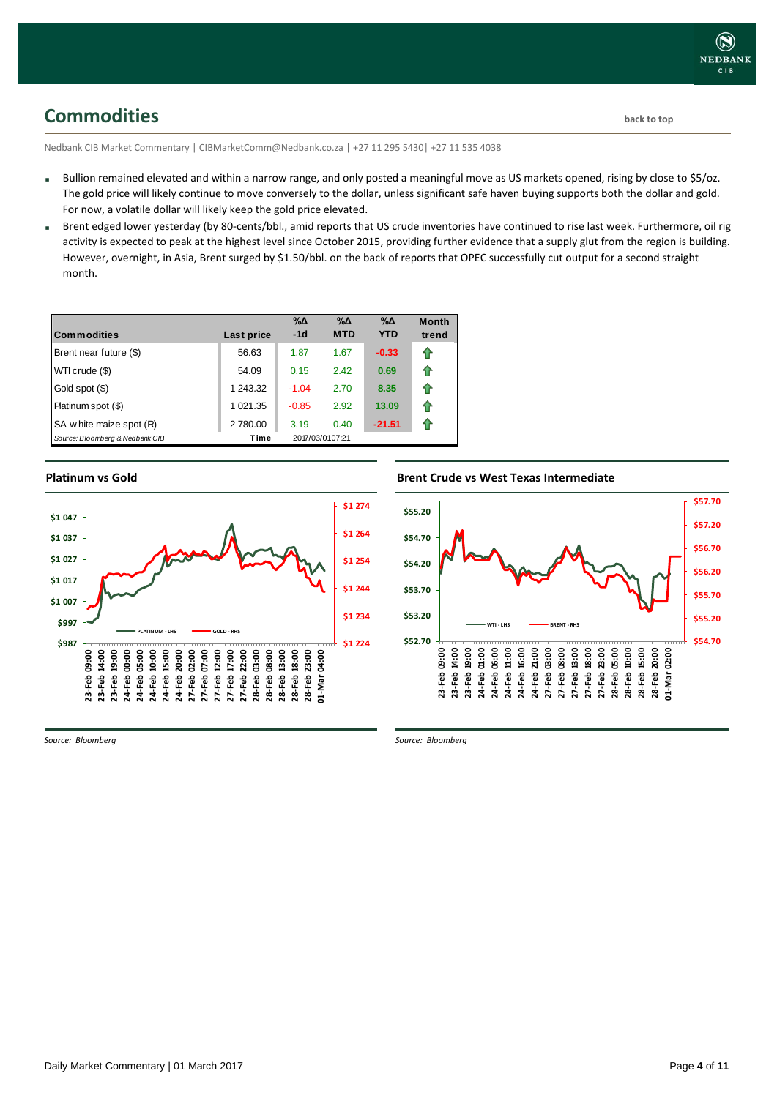<span id="page-3-0"></span>**Commodities [back to top](#page-0-0)** 

Nedbank CIB Market Commentary | CIBMarketComm@Nedbank.co.za | +27 11 295 5430| +27 11 535 4038

- Bullion remained elevated and within a narrow range, and only posted a meaningful move as US markets opened, rising by close to \$5/oz. The gold price will likely continue to move conversely to the dollar, unless significant safe haven buying supports both the dollar and gold. For now, a volatile dollar will likely keep the gold price elevated.
- Brent edged lower yesterday (by 80-cents/bbl., amid reports that US crude inventories have continued to rise last week. Furthermore, oil rig activity is expected to peak at the highest level since October 2015, providing further evidence that a supply glut from the region is building. However, overnight, in Asia, Brent surged by \$1.50/bbl. on the back of reports that OPEC successfully cut output for a second straight month.

| <b>Commodities</b>              | Last price | $\% \Delta$<br>$-1d$ | $\% \Delta$<br><b>MTD</b> | $\% \Delta$<br><b>YTD</b> | <b>Month</b><br>trend |
|---------------------------------|------------|----------------------|---------------------------|---------------------------|-----------------------|
| Brent near future (\$)          | 56.63      | 1.87                 | 1.67                      | $-0.33$                   | ⇑                     |
| WTI crude (\$)                  | 54.09      | 0.15                 | 2.42                      | 0.69                      | ⇑                     |
| Gold spot (\$)                  | 1 243.32   | $-1.04$              | 2.70                      | 8.35                      | ⇑                     |
| Platinum spot (\$)              | 1 021.35   | $-0.85$              | 2.92                      | 13.09                     | ⇑                     |
| SA w hite maize spot (R)        | 2780.00    | 3.19                 | 0.40                      | $-21.51$                  | ⇑                     |
| Source: Bloomberg & Nedbank CIB | Time       |                      | 2017/03/0107:21           |                           |                       |

### **Platinum vs Gold Platinum vs. Gold**



**Brent Crude vs West Texas Intermediate Brent Crude vs West Texas Intermediate** 



*Source: Bloomberg*

*Source: Bloomberg*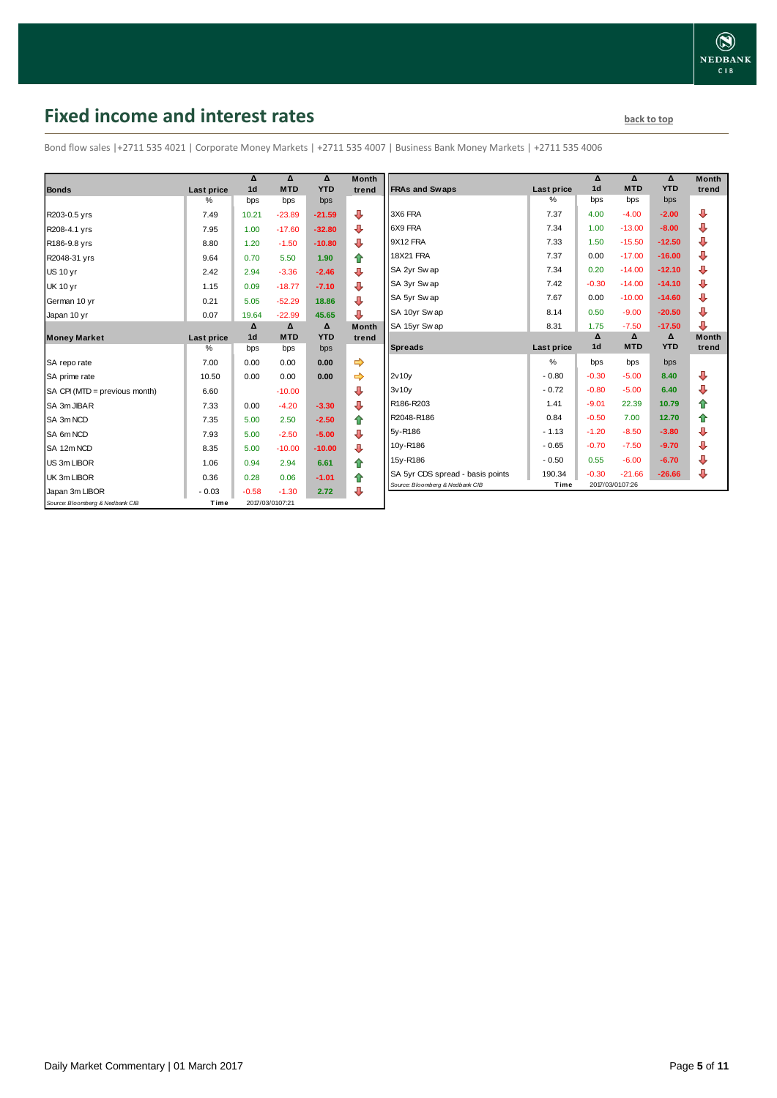### <span id="page-4-0"></span>**Fixed income and interest rates back to the line of the set of the set of the set of the set of the set of the set of the set of the set of the set of the set of the set of the set of the set of the set of the set of th**

Bond flow sales |+2711 535 4021 | Corporate Money Markets | +2711 535 4007 | Business Bank Money Markets | +2711 535 4006

|                                 |            | Δ              | Δ               | Δ          | <b>Month</b> |
|---------------------------------|------------|----------------|-----------------|------------|--------------|
| <b>Bonds</b>                    | Last price | 1 <sub>d</sub> | <b>MTD</b>      | <b>YTD</b> | trend        |
|                                 | %          | bps            | bps             | bps        |              |
| R203-0.5 yrs                    | 7.49       | 10.21          | $-23.89$        | $-21.59$   | J            |
| R208-4.1 yrs                    | 7.95       | 1.00           | $-17.60$        | $-32.80$   | ⊕            |
| R186-9.8 yrs                    | 8.80       | 1.20           | $-1.50$         | $-10.80$   | ⊕            |
| R2048-31 yrs                    | 9.64       | 0.70           | 5.50            | 1.90       | ✿            |
| <b>US 10 yr</b>                 | 2.42       | 2.94           | $-3.36$         | $-2.46$    | ⊕            |
| <b>UK 10 yr</b>                 | 1.15       | 0.09           | $-18.77$        | $-7.10$    | ⊕            |
| German 10 yr                    | 0.21       | 5.05           | $-52.29$        | 18.86      | ⊕            |
| Japan 10 yr                     | 0.07       | 19.64          | $-22.99$        | 45.65      | ⊕            |
|                                 |            | Δ              | $\Delta$        | Δ          | <b>Month</b> |
| <b>Money Market</b>             | Last price | 1 <sub>d</sub> | <b>MTD</b>      | <b>YTD</b> | trend        |
|                                 | $\%$       | bps            | bps             | bps        |              |
| SA repo rate                    | 7.00       | 0.00           | 0.00            | 0.00       | ⇛            |
| SA prime rate                   | 10.50      | 0.00           | 0.00            | 0.00       |              |
| SA CPI (MTD = previous month)   | 6.60       |                | $-10.00$        |            | ⊕            |
| SA 3m JIBAR                     | 7.33       | 0.00           | $-4.20$         | $-3.30$    | ⊕            |
| SA 3m NCD                       | 7.35       | 5.00           | 2.50            | $-2.50$    | ✿            |
| SA 6m NCD                       | 7.93       | 5.00           | $-2.50$         | $-5.00$    | ⇩            |
| SA 12m NCD                      | 8.35       | 5.00           | $-10.00$        | $-10.00$   | ⊕            |
| US 3m LIBOR                     | 1.06       | 0.94           | 2.94            | 6.61       | ✿            |
| UK 3m LIBOR                     | 0.36       | 0.28           | 0.06            | $-1.01$    | ⇮            |
| Japan 3m LIBOR                  | $-0.03$    | $-0.58$        | $-1.30$         | 2.72       | ⊕            |
| Source: Bloomberg & Nedbank CIB | Time       |                | 2017/03/0107:21 |            |              |

| Month  |                                  |            | Δ              | Δ          | Δ          | <b>Month</b> |
|--------|----------------------------------|------------|----------------|------------|------------|--------------|
| trend  | <b>FRAs and Swaps</b>            | Last price | 1 <sub>d</sub> | <b>MTD</b> | <b>YTD</b> | trend        |
|        |                                  | $\%$       | bps            | bps        | bps        |              |
| ⊕      | 3X6 FRA                          | 7.37       | 4.00           | $-4.00$    | $-2.00$    | ⊕            |
| ⊕      | 6X9 FRA                          | 7.34       | 1.00           | $-13.00$   | $-8.00$    | ⊕            |
| ⊕      | 9X12 FRA                         | 7.33       | 1.50           | $-15.50$   | $-12.50$   | ⊕            |
| 合      | <b>18X21 FRA</b>                 | 7.37       | 0.00           | $-17.00$   | $-16.00$   | ⊕            |
| ₽      | SA 2yr Swap                      | 7.34       | 0.20           | $-14.00$   | $-12.10$   | ⊕            |
| ⊕      | SA 3yr Swap                      | 7.42       | $-0.30$        | $-14.00$   | $-14.10$   | ⊕            |
| ⊕      | SA 5yr Swap                      | 7.67       | 0.00           | $-10.00$   | $-14.60$   | ⊕            |
| ⊕      | SA 10yr Swap                     | 8.14       | 0.50           | $-9.00$    | $-20.50$   | ⊕            |
| Month  | SA 15yr Swap                     | 8.31       | 1.75           | $-7.50$    | $-17.50$   | ⊕            |
| trend  |                                  |            | Δ              | Δ          | Δ          | <b>Month</b> |
|        | <b>Spreads</b>                   | Last price | 1 <sub>d</sub> | <b>MTD</b> | <b>YTD</b> | trend        |
| ⇛      |                                  | %          | bps            | bps        | bps        |              |
| ⇛      | 2v10v                            | $-0.80$    | $-0.30$        | $-5.00$    | 8.40       | ⊕            |
| ⊕      | 3v10v                            | $-0.72$    | $-0.80$        | $-5.00$    | 6.40       | ⊕            |
| ⊕      | R186-R203                        | 1.41       | $-9.01$        | 22.39      | 10.79      | ⇮            |
|        |                                  |            |                |            |            |              |
|        | R2048-R186                       | 0.84       | $-0.50$        | 7.00       | 12.70      | ⇮            |
| ⇑      | 5y-R186                          | $-1.13$    | $-1.20$        | $-8.50$    | $-3.80$    | ⊕            |
| ⊕      | 10y-R186                         | $-0.65$    | $-0.70$        | $-7.50$    | $-9.70$    | ⊕            |
| ⊕      | 15y-R186                         | $-0.50$    | 0.55           | $-6.00$    | $-6.70$    | ⊕            |
| ✿<br>⇑ | SA 5yr CDS spread - basis points | 190.34     | $-0.30$        | $-21.66$   | $-26.66$   | ⇩            |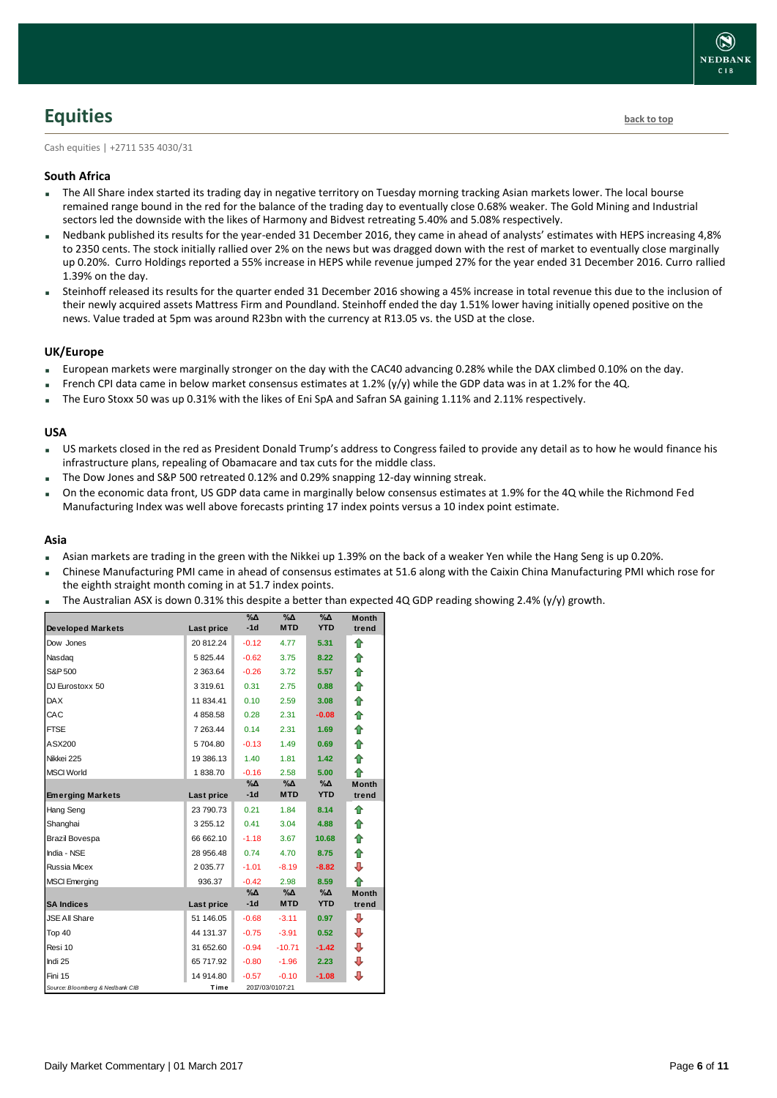### <span id="page-5-0"></span>**Equities [back to top](#page-0-0)**

Cash equities | +2711 535 4030/31

#### **South Africa**

- The All Share index started its trading day in negative territory on Tuesday morning tracking Asian markets lower. The local bourse remained range bound in the red for the balance of the trading day to eventually close 0.68% weaker. The Gold Mining and Industrial sectors led the downside with the likes of Harmony and Bidvest retreating 5.40% and 5.08% respectively.
- Nedbank published its results for the year-ended 31 December 2016, they came in ahead of analysts' estimates with HEPS increasing 4,8% to 2350 cents. The stock initially rallied over 2% on the news but was dragged down with the rest of market to eventually close marginally up 0.20%. Curro Holdings reported a 55% increase in HEPS while revenue jumped 27% for the year ended 31 December 2016. Curro rallied 1.39% on the day.
- Steinhoff released its results for the quarter ended 31 December 2016 showing a 45% increase in total revenue this due to the inclusion of their newly acquired assets Mattress Firm and Poundland. Steinhoff ended the day 1.51% lower having initially opened positive on the news. Value traded at 5pm was around R23bn with the currency at R13.05 vs. the USD at the close.

#### **UK/Europe**

- European markets were marginally stronger on the day with the CAC40 advancing 0.28% while the DAX climbed 0.10% on the day.
- French CPI data came in below market consensus estimates at 1.2% (y/y) while the GDP data was in at 1.2% for the 4Q.
- The Euro Stoxx 50 was up 0.31% with the likes of Eni SpA and Safran SA gaining 1.11% and 2.11% respectively.

#### **USA**

- US markets closed in the red as President Donald Trump's address to Congress failed to provide any detail as to how he would finance his infrastructure plans, repealing of Obamacare and tax cuts for the middle class.
- The Dow Jones and S&P 500 retreated 0.12% and 0.29% snapping 12-day winning streak.
- On the economic data front, US GDP data came in marginally below consensus estimates at 1.9% for the 4Q while the Richmond Fed Manufacturing Index was well above forecasts printing 17 index points versus a 10 index point estimate.

#### **Asia**

- Asian markets are trading in the green with the Nikkei up 1.39% on the back of a weaker Yen while the Hang Seng is up 0.20%.
- Chinese Manufacturing PMI came in ahead of consensus estimates at 51.6 along with the Caixin China Manufacturing PMI which rose for the eighth straight month coming in at 51.7 index points.
- The Australian ASX is down 0.31% this despite a better than expected 4Q GDP reading showing 2.4% (y/y) growth.

| <b>Developed Markets</b>        | Last price    | $\%$ $\Delta$<br>$-1d$ | $\%$ $\Delta$<br><b>MTD</b> | %Δ<br><b>YTD</b> | <b>Month</b><br>trend |
|---------------------------------|---------------|------------------------|-----------------------------|------------------|-----------------------|
| Dow Jones                       | 20 812.24     | $-0.12$                | 4.77                        | 5.31             | ⇑                     |
| Nasdaq                          | 5825.44       | $-0.62$                | 3.75                        | 8.22             | ⇑                     |
| S&P 500                         | 2 3 6 3 . 6 4 | $-0.26$                | 3.72                        | 5.57             | ⇑                     |
| DJ Eurostoxx 50                 | 3 3 1 9 . 6 1 | 0.31                   | 2.75                        | 0.88             | 合                     |
| <b>DAX</b>                      | 11 834.41     | 0.10                   | 2.59                        | 3.08             | 合                     |
| CAC                             | 4858.58       | 0.28                   | 2.31                        | $-0.08$          | 合                     |
| <b>FTSE</b>                     | 7 263.44      | 0.14                   | 2.31                        | 1.69             | ⇑                     |
| ASX200                          | 5704.80       | $-0.13$                | 1.49                        | 0.69             | 合                     |
| Nikkei 225                      | 19 386.13     | 1.40                   | 1.81                        | 1.42             | ♠                     |
| <b>MSCI World</b>               | 1838.70       | $-0.16$                | 2.58                        | 5.00             | 全                     |
|                                 |               | %Δ                     | %Δ                          | %Δ               | <b>Month</b>          |
| <b>Emerging Markets</b>         | Last price    | $-1d$                  | <b>MTD</b>                  | <b>YTD</b>       | trend                 |
| Hang Seng                       | 23 790.73     | 0.21                   | 1.84                        | 8.14             | ⇑                     |
| Shanghai                        | 3 255.12      | 0.41                   | 3.04                        | 4.88             | ⇮                     |
| Brazil Bovespa                  | 66 662.10     | $-1.18$                | 3.67                        | 10.68            | 合                     |
| India - NSE                     | 28 956.48     | 0.74                   | 4.70                        | 8.75             | ⇑                     |
| <b>Russia Micex</b>             | 2 035.77      | $-1.01$                | $-8.19$                     | $-8.82$          | ⊕                     |
| <b>MSCI</b> Emerging            | 936.37        | $-0.42$                | 2.98                        | 8.59             | ♠                     |
|                                 |               | %∆                     | %Δ                          | %Δ               | <b>Month</b>          |
| <b>SA Indices</b>               | Last price    | $-1d$                  | <b>MTD</b>                  | <b>YTD</b>       | trend                 |
| <b>JSE All Share</b>            | 51 146.05     | $-0.68$                | $-3.11$                     | 0.97             | ⊕                     |
| Top 40                          | 44 131.37     | $-0.75$                | $-3.91$                     | 0.52             | ⊕                     |
| Resi 10                         | 31 652.60     | $-0.94$                | $-10.71$                    | $-1.42$          | ⊕                     |
| Indi 25                         | 65 717.92     | $-0.80$                | $-1.96$                     | 2.23             | ⊕                     |
| Fini 15                         | 14 914.80     | $-0.57$                | $-0.10$                     | $-1.08$          | ⊕                     |
| Source: Bloomberg & Nedbank CIB | Time          |                        | 2017/03/0107:21             |                  |                       |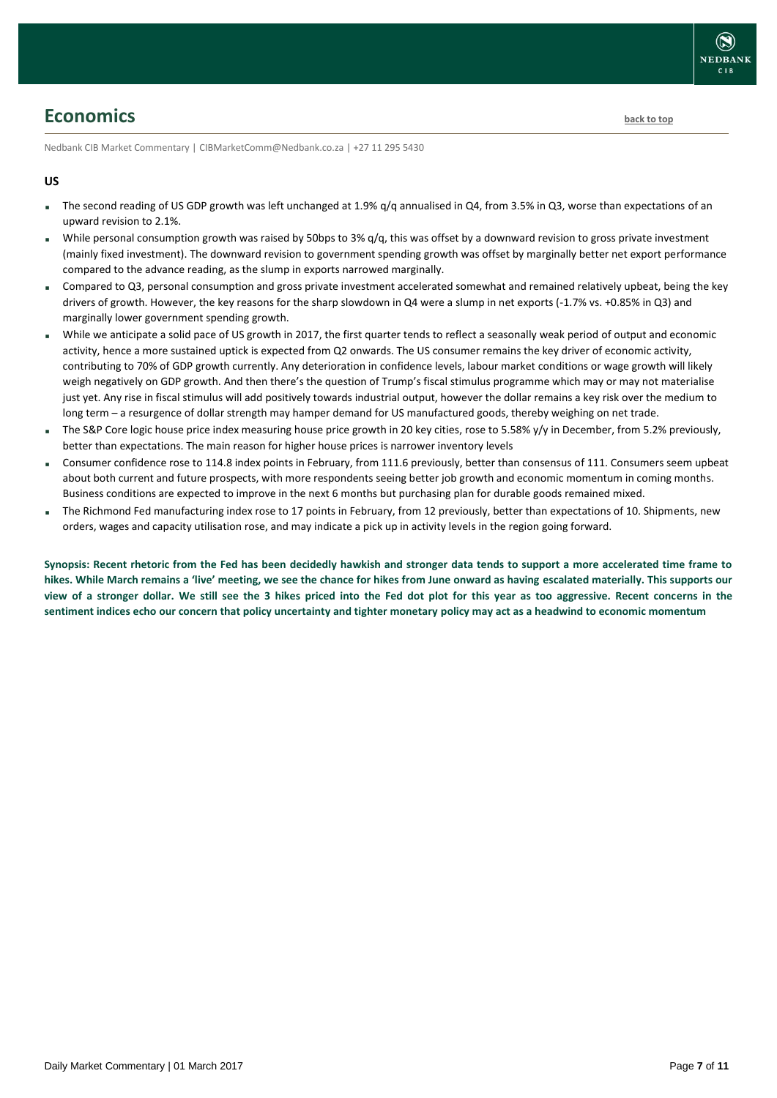### <span id="page-6-0"></span>**Economics [back to top](#page-0-0)**

Nedbank CIB Market Commentary | CIBMarketComm@Nedbank.co.za | +27 11 295 5430

#### **US**

- The second reading of US GDP growth was left unchanged at 1.9% g/q annualised in Q4, from 3.5% in Q3, worse than expectations of an upward revision to 2.1%.
- While personal consumption growth was raised by 50bps to 3% q/q, this was offset by a downward revision to gross private investment (mainly fixed investment). The downward revision to government spending growth was offset by marginally better net export performance compared to the advance reading, as the slump in exports narrowed marginally.
- Compared to Q3, personal consumption and gross private investment accelerated somewhat and remained relatively upbeat, being the key drivers of growth. However, the key reasons for the sharp slowdown in Q4 were a slump in net exports (-1.7% vs. +0.85% in Q3) and marginally lower government spending growth.
- While we anticipate a solid pace of US growth in 2017, the first quarter tends to reflect a seasonally weak period of output and economic activity, hence a more sustained uptick is expected from Q2 onwards. The US consumer remains the key driver of economic activity, contributing to 70% of GDP growth currently. Any deterioration in confidence levels, labour market conditions or wage growth will likely weigh negatively on GDP growth. And then there's the question of Trump's fiscal stimulus programme which may or may not materialise just yet. Any rise in fiscal stimulus will add positively towards industrial output, however the dollar remains a key risk over the medium to long term – a resurgence of dollar strength may hamper demand for US manufactured goods, thereby weighing on net trade.
- The S&P Core logic house price index measuring house price growth in 20 key cities, rose to 5.58% y/y in December, from 5.2% previously, better than expectations. The main reason for higher house prices is narrower inventory levels
- Consumer confidence rose to 114.8 index points in February, from 111.6 previously, better than consensus of 111. Consumers seem upbeat about both current and future prospects, with more respondents seeing better job growth and economic momentum in coming months. Business conditions are expected to improve in the next 6 months but purchasing plan for durable goods remained mixed.
- The Richmond Fed manufacturing index rose to 17 points in February, from 12 previously, better than expectations of 10. Shipments, new orders, wages and capacity utilisation rose, and may indicate a pick up in activity levels in the region going forward.

**Synopsis: Recent rhetoric from the Fed has been decidedly hawkish and stronger data tends to support a more accelerated time frame to hikes. While March remains a 'live' meeting, we see the chance for hikes from June onward as having escalated materially. This supports our view of a stronger dollar. We still see the 3 hikes priced into the Fed dot plot for this year as too aggressive. Recent concerns in the sentiment indices echo our concern that policy uncertainty and tighter monetary policy may act as a headwind to economic momentum**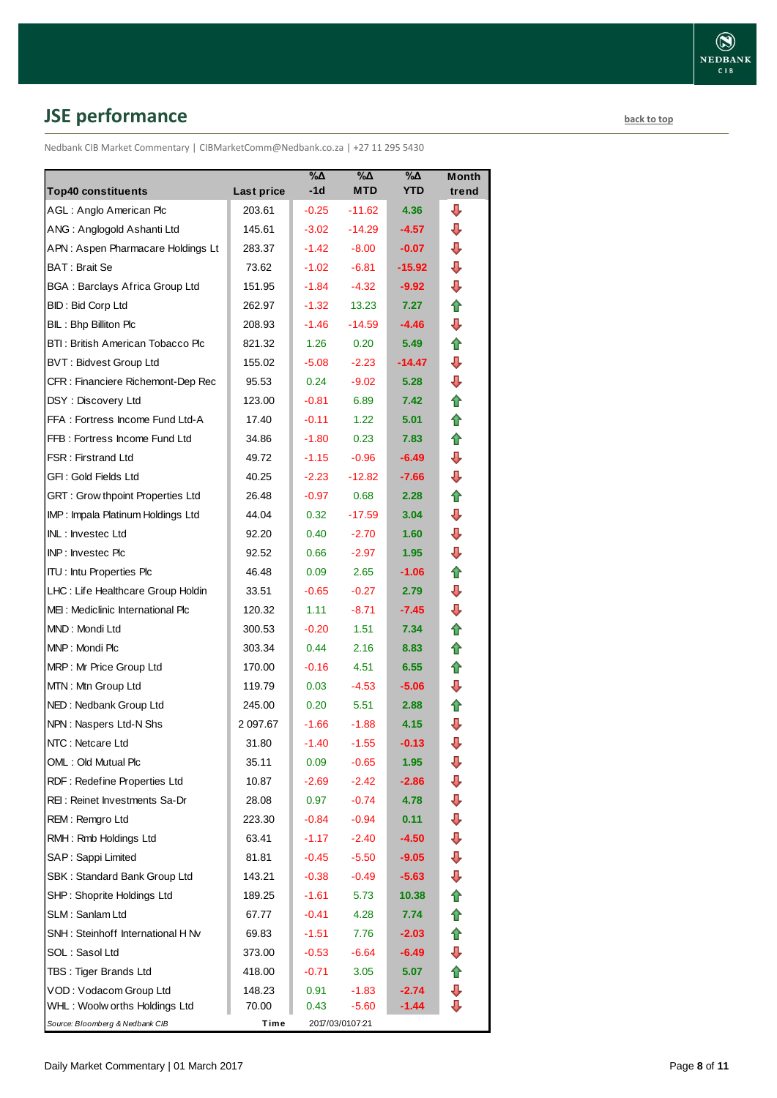# <span id="page-7-0"></span>**JSE performance [back to top](#page-0-0)**

Nedbank CIB Market Commentary | CIBMarketComm@Nedbank.co.za | +27 11 295 5430

|                                       |            | $\%$ $\Delta$ | %Δ              | %Δ         | <b>Month</b> |
|---------------------------------------|------------|---------------|-----------------|------------|--------------|
| <b>Top40 constituents</b>             | Last price | $-1d$         | <b>MTD</b>      | <b>YTD</b> | trend        |
| AGL: Anglo American Plc               | 203.61     | $-0.25$       | $-11.62$        | 4.36       | ┺            |
| ANG: Anglogold Ashanti Ltd            | 145.61     | $-3.02$       | $-14.29$        | $-4.57$    | ⊕            |
| APN: Aspen Pharmacare Holdings Lt     | 283.37     | $-1.42$       | $-8.00$         | $-0.07$    | ┺            |
| BAT: Brait Se                         | 73.62      | $-1.02$       | $-6.81$         | -15.92     | ⊕            |
| <b>BGA: Barclays Africa Group Ltd</b> | 151.95     | $-1.84$       | $-4.32$         | -9.92      | ⊕            |
| <b>BID: Bid Corp Ltd</b>              | 262.97     | $-1.32$       | 13.23           | 7.27       | ✿            |
| BIL: Bhp Billiton Plc                 | 208.93     | $-1.46$       | $-14.59$        | $-4.46$    | ⇩            |
| BTI: British American Tobacco Plc     | 821.32     | 1.26          | 0.20            | 5.49       | 合            |
| <b>BVT: Bidvest Group Ltd</b>         | 155.02     | $-5.08$       | $-2.23$         | -14.47     | ⇩            |
| CFR : Financiere Richemont-Dep Rec    | 95.53      | 0.24          | $-9.02$         | 5.28       | ⇩            |
| DSY: Discovery Ltd                    | 123.00     | $-0.81$       | 6.89            | 7.42       | ⇮            |
| FFA: Fortress Income Fund Ltd-A       | 17.40      | $-0.11$       | 1.22            | 5.01       | ⇑            |
| FFB: Fortress Income Fund Ltd         | 34.86      | $-1.80$       | 0.23            | 7.83       | ⇑            |
| <b>FSR: Firstrand Ltd</b>             | 49.72      | $-1.15$       | $-0.96$         | $-6.49$    | ⇩            |
| GFI: Gold Fields Ltd                  | 40.25      | $-2.23$       | $-12.82$        | $-7.66$    | ⊕            |
| GRT : Grow thpoint Properties Ltd     | 26.48      | $-0.97$       | 0.68            | 2.28       | ✿            |
| IMP: Impala Platinum Holdings Ltd     | 44.04      | 0.32          | $-17.59$        | 3.04       | ⊕            |
| INL: Investec Ltd                     | 92.20      | 0.40          | $-2.70$         | 1.60       | ⊕            |
| INP: Investec Plc                     | 92.52      | 0.66          | $-2.97$         | 1.95       | ⊕            |
| <b>ITU: Intu Properties Plc</b>       | 46.48      | 0.09          | 2.65            | -1.06      | ✿            |
| LHC: Life Healthcare Group Holdin     | 33.51      | $-0.65$       | $-0.27$         | 2.79       | ⇩            |
| MEI: Mediclinic International Plc     | 120.32     | 1.11          | $-8.71$         | -7.45      | ⇩            |
| MND: Mondi Ltd                        | 300.53     | $-0.20$       | 1.51            | 7.34       | ✿            |
| MNP: Mondi Plc                        | 303.34     | 0.44          | 2.16            | 8.83       | ⇑            |
| MRP: Mr Price Group Ltd               | 170.00     | $-0.16$       | 4.51            | 6.55       | ✿            |
| MTN: Mtn Group Ltd                    | 119.79     | 0.03          | $-4.53$         | -5.06      | ⊕            |
| NED: Nedbank Group Ltd                | 245.00     | 0.20          | 5.51            | 2.88       | ⇑            |
| NPN: Naspers Ltd-N Shs                | 2 097.67   | $-1.66$       | $-1.88$         | 4.15       | ⇩            |
| NTC: Netcare Ltd                      | 31.80      | $-1.40$       | $-1.55$         | $-0.13$    | ⇩            |
| OML: Old Mutual Plc                   | 35.11      | 0.09          | $-0.65$         | 1.95       | ⇩            |
| RDF: Redefine Properties Ltd          | 10.87      | $-2.69$       | $-2.42$         | -2.86      | ⇩            |
| REI: Reinet Investments Sa-Dr         | 28.08      | 0.97          | $-0.74$         | 4.78       | ⇩            |
| REM: Remgro Ltd                       | 223.30     | $-0.84$       | $-0.94$         | 0.11       | ⇩            |
| RMH: Rmb Holdings Ltd                 | 63.41      | -1.17         | $-2.40$         | $-4.50$    | ⊕            |
| SAP: Sappi Limited                    | 81.81      | $-0.45$       | $-5.50$         | -9.05      | ⇩            |
| SBK: Standard Bank Group Ltd          | 143.21     | $-0.38$       | $-0.49$         | $-5.63$    | ⊕            |
| SHP: Shoprite Holdings Ltd            | 189.25     | $-1.61$       | 5.73            | 10.38      | ⇮            |
| SLM: Sanlam Ltd                       | 67.77      | -0.41         | 4.28            | 7.74       | ✿            |
| SNH: Steinhoff International H Nv     | 69.83      | -1.51         | 7.76            | $-2.03$    | ⇑            |
| SOL: Sasol Ltd                        | 373.00     | $-0.53$       | $-6.64$         | -6.49      | ₽            |
| TBS: Tiger Brands Ltd                 | 418.00     | $-0.71$       | 3.05            | 5.07       | 合            |
| VOD: Vodacom Group Ltd                | 148.23     | 0.91          | $-1.83$         | $-2.74$    | ⇩            |
| WHL : Woolw orths Holdings Ltd        | 70.00      | 0.43          | $-5.60$         | -1.44      | ⊕            |
| Source: Bloomberg & Nedbank CIB       | Time       |               | 2017/03/0107:21 |            |              |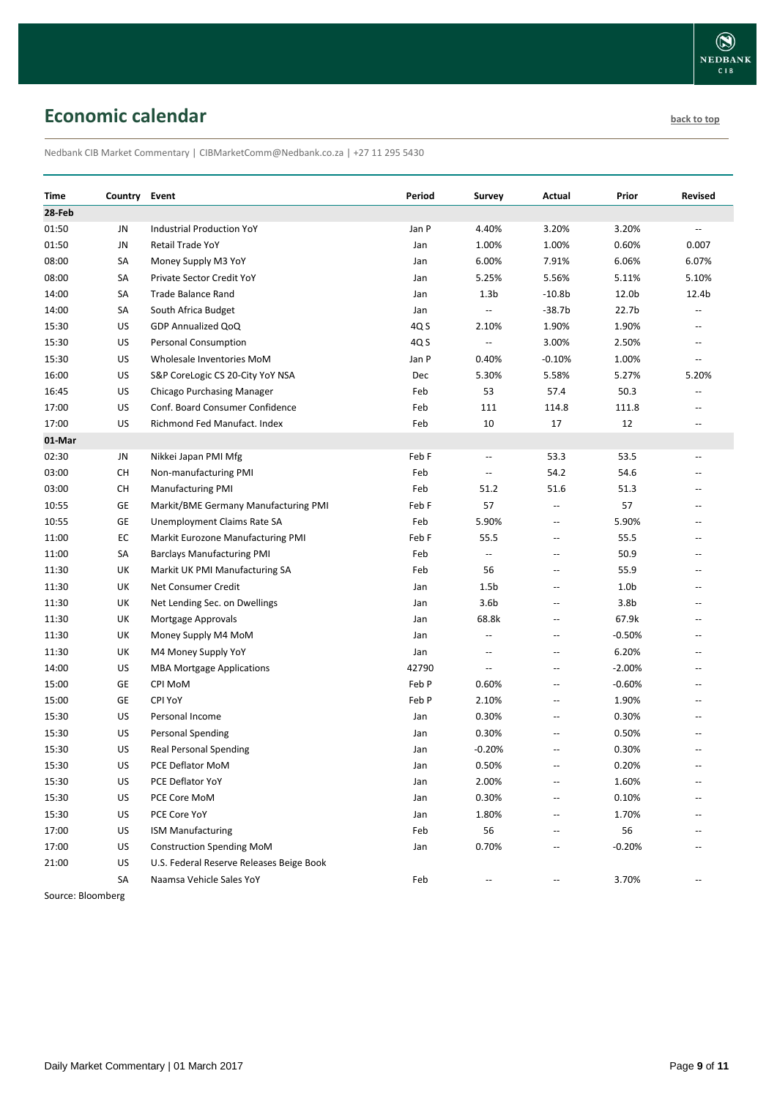## <span id="page-8-0"></span>**Economic calendar [back to top](#page-0-0) back to top**

Nedbank CIB Market Commentary | CIBMarketComm@Nedbank.co.za | +27 11 295 5430

| 28-Feb<br>01:50<br><b>Industrial Production YoY</b><br>Jan P<br>4.40%<br>3.20%<br>3.20%<br>JN<br>$\overline{\phantom{a}}$<br>JN<br>1.00%<br>1.00%<br>0.60%<br>01:50<br><b>Retail Trade YoY</b><br>Jan<br>0.007<br>SА<br>6.00%<br>7.91%<br>6.06%<br>6.07%<br>Money Supply M3 YoY<br>Jan<br>5.56%<br>08:00<br>SА<br>5.25%<br>5.11%<br>5.10%<br>Private Sector Credit YoY<br>Jan<br>SА<br>1.3 <sub>b</sub><br>$-10.8b$<br>12.0b<br>12.4b<br>14:00<br>Trade Balance Rand<br>Jan<br>$-38.7b$<br>22.7 <sub>b</sub><br>14:00<br>SА<br>South Africa Budget<br>Jan<br>$\overline{\phantom{a}}$<br>$\overline{a}$<br>US<br>1.90%<br>15:30<br>GDP Annualized QoQ<br>4Q S<br>2.10%<br>1.90%<br>$\hspace{0.05cm} -\hspace{0.05cm} -\hspace{0.05cm}$<br>3.00%<br>15:30<br>US<br><b>Personal Consumption</b><br>4Q S<br>2.50%<br>$\overline{\phantom{a}}$<br>$\mathbf{u}$<br>15:30<br>US<br>Wholesale Inventories MoM<br>Jan P<br>0.40%<br>$-0.10%$<br>1.00%<br>$\overline{\phantom{a}}$<br>US<br>16:00<br>S&P CoreLogic CS 20-City YoY NSA<br>5.30%<br>5.58%<br>5.27%<br>5.20%<br>Dec<br>50.3<br>US<br>Feb<br>53<br>57.4<br>16:45<br>Chicago Purchasing Manager<br>$\overline{\phantom{a}}$<br>US<br>Conf. Board Consumer Confidence<br>111<br>111.8<br>17:00<br>Feb<br>114.8<br>$\overline{\phantom{a}}$<br>US<br>10<br>17<br>12<br>Richmond Fed Manufact, Index<br>Feb<br>17:00<br>$\overline{\phantom{a}}$<br>01-Mar<br>02:30<br>JN<br>Nikkei Japan PMI Mfg<br>Feb F<br>53.3<br>53.5<br>$\overline{\phantom{a}}$<br>$\hspace{0.05cm} -$<br>54.2<br>54.6<br>03:00<br>СH<br>Non-manufacturing PMI<br>Feb<br>$\overline{\phantom{a}}$<br>$\overline{\phantom{a}}$<br>03:00<br>СH<br><b>Manufacturing PMI</b><br>Feb<br>51.2<br>51.6<br>51.3<br>$\overline{a}$<br>57<br>57<br>10:55<br>GE<br>Markit/BME Germany Manufacturing PMI<br>Feb F<br>$\hspace{0.05cm} -\hspace{0.05cm} -\hspace{0.05cm}$<br>$\overline{\phantom{a}}$<br>GE<br>5.90%<br>10:55<br>Feb<br>5.90%<br>Unemployment Claims Rate SA<br>$\overline{\phantom{a}}$<br>EC<br>55.5<br>55.5<br>11:00<br>Markit Eurozone Manufacturing PMI<br>Feb F<br>$\overline{\phantom{a}}$<br>$\overline{\phantom{m}}$<br>50.9<br>11:00<br>SA<br>Feb<br><b>Barclays Manufacturing PMI</b><br>$\overline{\phantom{a}}$<br>$\overline{\phantom{a}}$<br>$\overline{\phantom{m}}$<br>55.9<br>11:30<br>UK<br>Markit UK PMI Manufacturing SA<br>Feb<br>56<br>$\overline{\phantom{a}}$<br>$\overline{\phantom{a}}$<br>1.5 <sub>b</sub><br>1.0 <sub>b</sub><br>11:30<br>UK<br>Net Consumer Credit<br>Jan<br>$\hspace{0.05cm} -\hspace{0.05cm} -\hspace{0.05cm}$<br>$\overline{a}$<br>3.6 <sub>b</sub><br>3.8 <sub>b</sub><br>UK<br>11:30<br>Net Lending Sec. on Dwellings<br>Jan<br>$\overline{a}$<br>$\overline{a}$<br>UK<br>68.8k<br>67.9k<br>Mortgage Approvals<br>Jan<br>$\overline{\phantom{a}}$<br>$\overline{\phantom{a}}$<br>UK<br>$-0.50%$<br>11:30<br>Money Supply M4 MoM<br>Jan<br>$\overline{\phantom{a}}$<br>$\overline{a}$<br>$\overline{a}$<br>6.20%<br>11:30<br>UK<br>M4 Money Supply YoY<br>Jan<br>$\overline{a}$<br>$\overline{a}$<br>$\overline{\phantom{a}}$<br>US<br>42790<br>$-2.00%$<br><b>MBA Mortgage Applications</b><br>$\overline{\phantom{a}}$<br>$\overline{a}$<br>$\overline{a}$<br>GE<br>CPI MoM<br>Feb P<br>0.60%<br>$-0.60%$<br>15:00<br>$\overline{a}$<br>$\overline{a}$<br>GE<br>CPI YoY<br>Feb P<br>2.10%<br>1.90%<br>15:00<br>$\sim$<br>$\overline{a}$<br>15:30<br>US<br>0.30%<br>0.30%<br>Personal Income<br>Jan<br>$\overline{a}$<br>$\overline{a}$<br>15:30<br>US<br><b>Personal Spending</b><br>0.30%<br>0.50%<br>Jan<br>$\overline{a}$<br>US<br><b>Real Personal Spending</b><br>$-0.20%$<br>0.30%<br>15:30<br>Jan<br>$\overline{a}$<br>$\overline{a}$<br>0.20%<br>US<br>PCE Deflator MoM<br>0.50%<br>Jan<br>US<br>2.00%<br>1.60%<br>15:30<br>PCE Deflator YoY<br>Jan<br>US<br>0.30%<br>0.10%<br>15:30<br>PCE Core MoM<br>Jan<br>15:30<br>US<br>PCE Core YoY<br>1.80%<br>1.70%<br>Jan<br>56<br>56<br>US<br><b>ISM Manufacturing</b><br>Feb<br>US<br><b>Construction Spending MoM</b><br>0.70%<br>$-0.20%$<br>17:00<br>Jan<br>21:00<br>US<br>U.S. Federal Reserve Releases Beige Book<br>Naamsa Vehicle Sales YoY | Time  | Country | Event | Period | Survey | Actual | Prior | <b>Revised</b> |
|-------------------------------------------------------------------------------------------------------------------------------------------------------------------------------------------------------------------------------------------------------------------------------------------------------------------------------------------------------------------------------------------------------------------------------------------------------------------------------------------------------------------------------------------------------------------------------------------------------------------------------------------------------------------------------------------------------------------------------------------------------------------------------------------------------------------------------------------------------------------------------------------------------------------------------------------------------------------------------------------------------------------------------------------------------------------------------------------------------------------------------------------------------------------------------------------------------------------------------------------------------------------------------------------------------------------------------------------------------------------------------------------------------------------------------------------------------------------------------------------------------------------------------------------------------------------------------------------------------------------------------------------------------------------------------------------------------------------------------------------------------------------------------------------------------------------------------------------------------------------------------------------------------------------------------------------------------------------------------------------------------------------------------------------------------------------------------------------------------------------------------------------------------------------------------------------------------------------------------------------------------------------------------------------------------------------------------------------------------------------------------------------------------------------------------------------------------------------------------------------------------------------------------------------------------------------------------------------------------------------------------------------------------------------------------------------------------------------------------------------------------------------------------------------------------------------------------------------------------------------------------------------------------------------------------------------------------------------------------------------------------------------------------------------------------------------------------------------------------------------------------------------------------------------------------------------------------------------------------------------------------------------------------------------------------------------------------------------------------------------------------------------------------------------------------------------------------------------------------------------------------------------------------------------------------------------------------------------------------------------------------------------------------------------------------------------------------------------------------------------------------------------------------------------------------------------------------------------------------------------------------------------------------------------------------------------------------------------------------------------------------------------------------------------------------------------------------------------------------------------------------------------------------------------------------------|-------|---------|-------|--------|--------|--------|-------|----------------|
|                                                                                                                                                                                                                                                                                                                                                                                                                                                                                                                                                                                                                                                                                                                                                                                                                                                                                                                                                                                                                                                                                                                                                                                                                                                                                                                                                                                                                                                                                                                                                                                                                                                                                                                                                                                                                                                                                                                                                                                                                                                                                                                                                                                                                                                                                                                                                                                                                                                                                                                                                                                                                                                                                                                                                                                                                                                                                                                                                                                                                                                                                                                                                                                                                                                                                                                                                                                                                                                                                                                                                                                                                                                                                                                                                                                                                                                                                                                                                                                                                                                                                                                                                                                     |       |         |       |        |        |        |       |                |
|                                                                                                                                                                                                                                                                                                                                                                                                                                                                                                                                                                                                                                                                                                                                                                                                                                                                                                                                                                                                                                                                                                                                                                                                                                                                                                                                                                                                                                                                                                                                                                                                                                                                                                                                                                                                                                                                                                                                                                                                                                                                                                                                                                                                                                                                                                                                                                                                                                                                                                                                                                                                                                                                                                                                                                                                                                                                                                                                                                                                                                                                                                                                                                                                                                                                                                                                                                                                                                                                                                                                                                                                                                                                                                                                                                                                                                                                                                                                                                                                                                                                                                                                                                                     |       |         |       |        |        |        |       |                |
|                                                                                                                                                                                                                                                                                                                                                                                                                                                                                                                                                                                                                                                                                                                                                                                                                                                                                                                                                                                                                                                                                                                                                                                                                                                                                                                                                                                                                                                                                                                                                                                                                                                                                                                                                                                                                                                                                                                                                                                                                                                                                                                                                                                                                                                                                                                                                                                                                                                                                                                                                                                                                                                                                                                                                                                                                                                                                                                                                                                                                                                                                                                                                                                                                                                                                                                                                                                                                                                                                                                                                                                                                                                                                                                                                                                                                                                                                                                                                                                                                                                                                                                                                                                     |       |         |       |        |        |        |       |                |
|                                                                                                                                                                                                                                                                                                                                                                                                                                                                                                                                                                                                                                                                                                                                                                                                                                                                                                                                                                                                                                                                                                                                                                                                                                                                                                                                                                                                                                                                                                                                                                                                                                                                                                                                                                                                                                                                                                                                                                                                                                                                                                                                                                                                                                                                                                                                                                                                                                                                                                                                                                                                                                                                                                                                                                                                                                                                                                                                                                                                                                                                                                                                                                                                                                                                                                                                                                                                                                                                                                                                                                                                                                                                                                                                                                                                                                                                                                                                                                                                                                                                                                                                                                                     | 08:00 |         |       |        |        |        |       |                |
|                                                                                                                                                                                                                                                                                                                                                                                                                                                                                                                                                                                                                                                                                                                                                                                                                                                                                                                                                                                                                                                                                                                                                                                                                                                                                                                                                                                                                                                                                                                                                                                                                                                                                                                                                                                                                                                                                                                                                                                                                                                                                                                                                                                                                                                                                                                                                                                                                                                                                                                                                                                                                                                                                                                                                                                                                                                                                                                                                                                                                                                                                                                                                                                                                                                                                                                                                                                                                                                                                                                                                                                                                                                                                                                                                                                                                                                                                                                                                                                                                                                                                                                                                                                     |       |         |       |        |        |        |       |                |
|                                                                                                                                                                                                                                                                                                                                                                                                                                                                                                                                                                                                                                                                                                                                                                                                                                                                                                                                                                                                                                                                                                                                                                                                                                                                                                                                                                                                                                                                                                                                                                                                                                                                                                                                                                                                                                                                                                                                                                                                                                                                                                                                                                                                                                                                                                                                                                                                                                                                                                                                                                                                                                                                                                                                                                                                                                                                                                                                                                                                                                                                                                                                                                                                                                                                                                                                                                                                                                                                                                                                                                                                                                                                                                                                                                                                                                                                                                                                                                                                                                                                                                                                                                                     |       |         |       |        |        |        |       |                |
|                                                                                                                                                                                                                                                                                                                                                                                                                                                                                                                                                                                                                                                                                                                                                                                                                                                                                                                                                                                                                                                                                                                                                                                                                                                                                                                                                                                                                                                                                                                                                                                                                                                                                                                                                                                                                                                                                                                                                                                                                                                                                                                                                                                                                                                                                                                                                                                                                                                                                                                                                                                                                                                                                                                                                                                                                                                                                                                                                                                                                                                                                                                                                                                                                                                                                                                                                                                                                                                                                                                                                                                                                                                                                                                                                                                                                                                                                                                                                                                                                                                                                                                                                                                     |       |         |       |        |        |        |       |                |
|                                                                                                                                                                                                                                                                                                                                                                                                                                                                                                                                                                                                                                                                                                                                                                                                                                                                                                                                                                                                                                                                                                                                                                                                                                                                                                                                                                                                                                                                                                                                                                                                                                                                                                                                                                                                                                                                                                                                                                                                                                                                                                                                                                                                                                                                                                                                                                                                                                                                                                                                                                                                                                                                                                                                                                                                                                                                                                                                                                                                                                                                                                                                                                                                                                                                                                                                                                                                                                                                                                                                                                                                                                                                                                                                                                                                                                                                                                                                                                                                                                                                                                                                                                                     |       |         |       |        |        |        |       |                |
|                                                                                                                                                                                                                                                                                                                                                                                                                                                                                                                                                                                                                                                                                                                                                                                                                                                                                                                                                                                                                                                                                                                                                                                                                                                                                                                                                                                                                                                                                                                                                                                                                                                                                                                                                                                                                                                                                                                                                                                                                                                                                                                                                                                                                                                                                                                                                                                                                                                                                                                                                                                                                                                                                                                                                                                                                                                                                                                                                                                                                                                                                                                                                                                                                                                                                                                                                                                                                                                                                                                                                                                                                                                                                                                                                                                                                                                                                                                                                                                                                                                                                                                                                                                     |       |         |       |        |        |        |       |                |
|                                                                                                                                                                                                                                                                                                                                                                                                                                                                                                                                                                                                                                                                                                                                                                                                                                                                                                                                                                                                                                                                                                                                                                                                                                                                                                                                                                                                                                                                                                                                                                                                                                                                                                                                                                                                                                                                                                                                                                                                                                                                                                                                                                                                                                                                                                                                                                                                                                                                                                                                                                                                                                                                                                                                                                                                                                                                                                                                                                                                                                                                                                                                                                                                                                                                                                                                                                                                                                                                                                                                                                                                                                                                                                                                                                                                                                                                                                                                                                                                                                                                                                                                                                                     |       |         |       |        |        |        |       |                |
|                                                                                                                                                                                                                                                                                                                                                                                                                                                                                                                                                                                                                                                                                                                                                                                                                                                                                                                                                                                                                                                                                                                                                                                                                                                                                                                                                                                                                                                                                                                                                                                                                                                                                                                                                                                                                                                                                                                                                                                                                                                                                                                                                                                                                                                                                                                                                                                                                                                                                                                                                                                                                                                                                                                                                                                                                                                                                                                                                                                                                                                                                                                                                                                                                                                                                                                                                                                                                                                                                                                                                                                                                                                                                                                                                                                                                                                                                                                                                                                                                                                                                                                                                                                     |       |         |       |        |        |        |       |                |
|                                                                                                                                                                                                                                                                                                                                                                                                                                                                                                                                                                                                                                                                                                                                                                                                                                                                                                                                                                                                                                                                                                                                                                                                                                                                                                                                                                                                                                                                                                                                                                                                                                                                                                                                                                                                                                                                                                                                                                                                                                                                                                                                                                                                                                                                                                                                                                                                                                                                                                                                                                                                                                                                                                                                                                                                                                                                                                                                                                                                                                                                                                                                                                                                                                                                                                                                                                                                                                                                                                                                                                                                                                                                                                                                                                                                                                                                                                                                                                                                                                                                                                                                                                                     |       |         |       |        |        |        |       |                |
|                                                                                                                                                                                                                                                                                                                                                                                                                                                                                                                                                                                                                                                                                                                                                                                                                                                                                                                                                                                                                                                                                                                                                                                                                                                                                                                                                                                                                                                                                                                                                                                                                                                                                                                                                                                                                                                                                                                                                                                                                                                                                                                                                                                                                                                                                                                                                                                                                                                                                                                                                                                                                                                                                                                                                                                                                                                                                                                                                                                                                                                                                                                                                                                                                                                                                                                                                                                                                                                                                                                                                                                                                                                                                                                                                                                                                                                                                                                                                                                                                                                                                                                                                                                     |       |         |       |        |        |        |       |                |
|                                                                                                                                                                                                                                                                                                                                                                                                                                                                                                                                                                                                                                                                                                                                                                                                                                                                                                                                                                                                                                                                                                                                                                                                                                                                                                                                                                                                                                                                                                                                                                                                                                                                                                                                                                                                                                                                                                                                                                                                                                                                                                                                                                                                                                                                                                                                                                                                                                                                                                                                                                                                                                                                                                                                                                                                                                                                                                                                                                                                                                                                                                                                                                                                                                                                                                                                                                                                                                                                                                                                                                                                                                                                                                                                                                                                                                                                                                                                                                                                                                                                                                                                                                                     |       |         |       |        |        |        |       |                |
|                                                                                                                                                                                                                                                                                                                                                                                                                                                                                                                                                                                                                                                                                                                                                                                                                                                                                                                                                                                                                                                                                                                                                                                                                                                                                                                                                                                                                                                                                                                                                                                                                                                                                                                                                                                                                                                                                                                                                                                                                                                                                                                                                                                                                                                                                                                                                                                                                                                                                                                                                                                                                                                                                                                                                                                                                                                                                                                                                                                                                                                                                                                                                                                                                                                                                                                                                                                                                                                                                                                                                                                                                                                                                                                                                                                                                                                                                                                                                                                                                                                                                                                                                                                     |       |         |       |        |        |        |       |                |
|                                                                                                                                                                                                                                                                                                                                                                                                                                                                                                                                                                                                                                                                                                                                                                                                                                                                                                                                                                                                                                                                                                                                                                                                                                                                                                                                                                                                                                                                                                                                                                                                                                                                                                                                                                                                                                                                                                                                                                                                                                                                                                                                                                                                                                                                                                                                                                                                                                                                                                                                                                                                                                                                                                                                                                                                                                                                                                                                                                                                                                                                                                                                                                                                                                                                                                                                                                                                                                                                                                                                                                                                                                                                                                                                                                                                                                                                                                                                                                                                                                                                                                                                                                                     |       |         |       |        |        |        |       |                |
|                                                                                                                                                                                                                                                                                                                                                                                                                                                                                                                                                                                                                                                                                                                                                                                                                                                                                                                                                                                                                                                                                                                                                                                                                                                                                                                                                                                                                                                                                                                                                                                                                                                                                                                                                                                                                                                                                                                                                                                                                                                                                                                                                                                                                                                                                                                                                                                                                                                                                                                                                                                                                                                                                                                                                                                                                                                                                                                                                                                                                                                                                                                                                                                                                                                                                                                                                                                                                                                                                                                                                                                                                                                                                                                                                                                                                                                                                                                                                                                                                                                                                                                                                                                     |       |         |       |        |        |        |       |                |
|                                                                                                                                                                                                                                                                                                                                                                                                                                                                                                                                                                                                                                                                                                                                                                                                                                                                                                                                                                                                                                                                                                                                                                                                                                                                                                                                                                                                                                                                                                                                                                                                                                                                                                                                                                                                                                                                                                                                                                                                                                                                                                                                                                                                                                                                                                                                                                                                                                                                                                                                                                                                                                                                                                                                                                                                                                                                                                                                                                                                                                                                                                                                                                                                                                                                                                                                                                                                                                                                                                                                                                                                                                                                                                                                                                                                                                                                                                                                                                                                                                                                                                                                                                                     |       |         |       |        |        |        |       |                |
|                                                                                                                                                                                                                                                                                                                                                                                                                                                                                                                                                                                                                                                                                                                                                                                                                                                                                                                                                                                                                                                                                                                                                                                                                                                                                                                                                                                                                                                                                                                                                                                                                                                                                                                                                                                                                                                                                                                                                                                                                                                                                                                                                                                                                                                                                                                                                                                                                                                                                                                                                                                                                                                                                                                                                                                                                                                                                                                                                                                                                                                                                                                                                                                                                                                                                                                                                                                                                                                                                                                                                                                                                                                                                                                                                                                                                                                                                                                                                                                                                                                                                                                                                                                     |       |         |       |        |        |        |       |                |
|                                                                                                                                                                                                                                                                                                                                                                                                                                                                                                                                                                                                                                                                                                                                                                                                                                                                                                                                                                                                                                                                                                                                                                                                                                                                                                                                                                                                                                                                                                                                                                                                                                                                                                                                                                                                                                                                                                                                                                                                                                                                                                                                                                                                                                                                                                                                                                                                                                                                                                                                                                                                                                                                                                                                                                                                                                                                                                                                                                                                                                                                                                                                                                                                                                                                                                                                                                                                                                                                                                                                                                                                                                                                                                                                                                                                                                                                                                                                                                                                                                                                                                                                                                                     |       |         |       |        |        |        |       |                |
|                                                                                                                                                                                                                                                                                                                                                                                                                                                                                                                                                                                                                                                                                                                                                                                                                                                                                                                                                                                                                                                                                                                                                                                                                                                                                                                                                                                                                                                                                                                                                                                                                                                                                                                                                                                                                                                                                                                                                                                                                                                                                                                                                                                                                                                                                                                                                                                                                                                                                                                                                                                                                                                                                                                                                                                                                                                                                                                                                                                                                                                                                                                                                                                                                                                                                                                                                                                                                                                                                                                                                                                                                                                                                                                                                                                                                                                                                                                                                                                                                                                                                                                                                                                     |       |         |       |        |        |        |       |                |
|                                                                                                                                                                                                                                                                                                                                                                                                                                                                                                                                                                                                                                                                                                                                                                                                                                                                                                                                                                                                                                                                                                                                                                                                                                                                                                                                                                                                                                                                                                                                                                                                                                                                                                                                                                                                                                                                                                                                                                                                                                                                                                                                                                                                                                                                                                                                                                                                                                                                                                                                                                                                                                                                                                                                                                                                                                                                                                                                                                                                                                                                                                                                                                                                                                                                                                                                                                                                                                                                                                                                                                                                                                                                                                                                                                                                                                                                                                                                                                                                                                                                                                                                                                                     |       |         |       |        |        |        |       |                |
|                                                                                                                                                                                                                                                                                                                                                                                                                                                                                                                                                                                                                                                                                                                                                                                                                                                                                                                                                                                                                                                                                                                                                                                                                                                                                                                                                                                                                                                                                                                                                                                                                                                                                                                                                                                                                                                                                                                                                                                                                                                                                                                                                                                                                                                                                                                                                                                                                                                                                                                                                                                                                                                                                                                                                                                                                                                                                                                                                                                                                                                                                                                                                                                                                                                                                                                                                                                                                                                                                                                                                                                                                                                                                                                                                                                                                                                                                                                                                                                                                                                                                                                                                                                     |       |         |       |        |        |        |       |                |
|                                                                                                                                                                                                                                                                                                                                                                                                                                                                                                                                                                                                                                                                                                                                                                                                                                                                                                                                                                                                                                                                                                                                                                                                                                                                                                                                                                                                                                                                                                                                                                                                                                                                                                                                                                                                                                                                                                                                                                                                                                                                                                                                                                                                                                                                                                                                                                                                                                                                                                                                                                                                                                                                                                                                                                                                                                                                                                                                                                                                                                                                                                                                                                                                                                                                                                                                                                                                                                                                                                                                                                                                                                                                                                                                                                                                                                                                                                                                                                                                                                                                                                                                                                                     |       |         |       |        |        |        |       |                |
|                                                                                                                                                                                                                                                                                                                                                                                                                                                                                                                                                                                                                                                                                                                                                                                                                                                                                                                                                                                                                                                                                                                                                                                                                                                                                                                                                                                                                                                                                                                                                                                                                                                                                                                                                                                                                                                                                                                                                                                                                                                                                                                                                                                                                                                                                                                                                                                                                                                                                                                                                                                                                                                                                                                                                                                                                                                                                                                                                                                                                                                                                                                                                                                                                                                                                                                                                                                                                                                                                                                                                                                                                                                                                                                                                                                                                                                                                                                                                                                                                                                                                                                                                                                     |       |         |       |        |        |        |       |                |
|                                                                                                                                                                                                                                                                                                                                                                                                                                                                                                                                                                                                                                                                                                                                                                                                                                                                                                                                                                                                                                                                                                                                                                                                                                                                                                                                                                                                                                                                                                                                                                                                                                                                                                                                                                                                                                                                                                                                                                                                                                                                                                                                                                                                                                                                                                                                                                                                                                                                                                                                                                                                                                                                                                                                                                                                                                                                                                                                                                                                                                                                                                                                                                                                                                                                                                                                                                                                                                                                                                                                                                                                                                                                                                                                                                                                                                                                                                                                                                                                                                                                                                                                                                                     | 11:30 |         |       |        |        |        |       |                |
|                                                                                                                                                                                                                                                                                                                                                                                                                                                                                                                                                                                                                                                                                                                                                                                                                                                                                                                                                                                                                                                                                                                                                                                                                                                                                                                                                                                                                                                                                                                                                                                                                                                                                                                                                                                                                                                                                                                                                                                                                                                                                                                                                                                                                                                                                                                                                                                                                                                                                                                                                                                                                                                                                                                                                                                                                                                                                                                                                                                                                                                                                                                                                                                                                                                                                                                                                                                                                                                                                                                                                                                                                                                                                                                                                                                                                                                                                                                                                                                                                                                                                                                                                                                     |       |         |       |        |        |        |       |                |
|                                                                                                                                                                                                                                                                                                                                                                                                                                                                                                                                                                                                                                                                                                                                                                                                                                                                                                                                                                                                                                                                                                                                                                                                                                                                                                                                                                                                                                                                                                                                                                                                                                                                                                                                                                                                                                                                                                                                                                                                                                                                                                                                                                                                                                                                                                                                                                                                                                                                                                                                                                                                                                                                                                                                                                                                                                                                                                                                                                                                                                                                                                                                                                                                                                                                                                                                                                                                                                                                                                                                                                                                                                                                                                                                                                                                                                                                                                                                                                                                                                                                                                                                                                                     |       |         |       |        |        |        |       |                |
|                                                                                                                                                                                                                                                                                                                                                                                                                                                                                                                                                                                                                                                                                                                                                                                                                                                                                                                                                                                                                                                                                                                                                                                                                                                                                                                                                                                                                                                                                                                                                                                                                                                                                                                                                                                                                                                                                                                                                                                                                                                                                                                                                                                                                                                                                                                                                                                                                                                                                                                                                                                                                                                                                                                                                                                                                                                                                                                                                                                                                                                                                                                                                                                                                                                                                                                                                                                                                                                                                                                                                                                                                                                                                                                                                                                                                                                                                                                                                                                                                                                                                                                                                                                     | 14:00 |         |       |        |        |        |       |                |
|                                                                                                                                                                                                                                                                                                                                                                                                                                                                                                                                                                                                                                                                                                                                                                                                                                                                                                                                                                                                                                                                                                                                                                                                                                                                                                                                                                                                                                                                                                                                                                                                                                                                                                                                                                                                                                                                                                                                                                                                                                                                                                                                                                                                                                                                                                                                                                                                                                                                                                                                                                                                                                                                                                                                                                                                                                                                                                                                                                                                                                                                                                                                                                                                                                                                                                                                                                                                                                                                                                                                                                                                                                                                                                                                                                                                                                                                                                                                                                                                                                                                                                                                                                                     |       |         |       |        |        |        |       |                |
|                                                                                                                                                                                                                                                                                                                                                                                                                                                                                                                                                                                                                                                                                                                                                                                                                                                                                                                                                                                                                                                                                                                                                                                                                                                                                                                                                                                                                                                                                                                                                                                                                                                                                                                                                                                                                                                                                                                                                                                                                                                                                                                                                                                                                                                                                                                                                                                                                                                                                                                                                                                                                                                                                                                                                                                                                                                                                                                                                                                                                                                                                                                                                                                                                                                                                                                                                                                                                                                                                                                                                                                                                                                                                                                                                                                                                                                                                                                                                                                                                                                                                                                                                                                     |       |         |       |        |        |        |       |                |
|                                                                                                                                                                                                                                                                                                                                                                                                                                                                                                                                                                                                                                                                                                                                                                                                                                                                                                                                                                                                                                                                                                                                                                                                                                                                                                                                                                                                                                                                                                                                                                                                                                                                                                                                                                                                                                                                                                                                                                                                                                                                                                                                                                                                                                                                                                                                                                                                                                                                                                                                                                                                                                                                                                                                                                                                                                                                                                                                                                                                                                                                                                                                                                                                                                                                                                                                                                                                                                                                                                                                                                                                                                                                                                                                                                                                                                                                                                                                                                                                                                                                                                                                                                                     |       |         |       |        |        |        |       |                |
|                                                                                                                                                                                                                                                                                                                                                                                                                                                                                                                                                                                                                                                                                                                                                                                                                                                                                                                                                                                                                                                                                                                                                                                                                                                                                                                                                                                                                                                                                                                                                                                                                                                                                                                                                                                                                                                                                                                                                                                                                                                                                                                                                                                                                                                                                                                                                                                                                                                                                                                                                                                                                                                                                                                                                                                                                                                                                                                                                                                                                                                                                                                                                                                                                                                                                                                                                                                                                                                                                                                                                                                                                                                                                                                                                                                                                                                                                                                                                                                                                                                                                                                                                                                     |       |         |       |        |        |        |       |                |
|                                                                                                                                                                                                                                                                                                                                                                                                                                                                                                                                                                                                                                                                                                                                                                                                                                                                                                                                                                                                                                                                                                                                                                                                                                                                                                                                                                                                                                                                                                                                                                                                                                                                                                                                                                                                                                                                                                                                                                                                                                                                                                                                                                                                                                                                                                                                                                                                                                                                                                                                                                                                                                                                                                                                                                                                                                                                                                                                                                                                                                                                                                                                                                                                                                                                                                                                                                                                                                                                                                                                                                                                                                                                                                                                                                                                                                                                                                                                                                                                                                                                                                                                                                                     |       |         |       |        |        |        |       |                |
|                                                                                                                                                                                                                                                                                                                                                                                                                                                                                                                                                                                                                                                                                                                                                                                                                                                                                                                                                                                                                                                                                                                                                                                                                                                                                                                                                                                                                                                                                                                                                                                                                                                                                                                                                                                                                                                                                                                                                                                                                                                                                                                                                                                                                                                                                                                                                                                                                                                                                                                                                                                                                                                                                                                                                                                                                                                                                                                                                                                                                                                                                                                                                                                                                                                                                                                                                                                                                                                                                                                                                                                                                                                                                                                                                                                                                                                                                                                                                                                                                                                                                                                                                                                     | 15:30 |         |       |        |        |        |       |                |
|                                                                                                                                                                                                                                                                                                                                                                                                                                                                                                                                                                                                                                                                                                                                                                                                                                                                                                                                                                                                                                                                                                                                                                                                                                                                                                                                                                                                                                                                                                                                                                                                                                                                                                                                                                                                                                                                                                                                                                                                                                                                                                                                                                                                                                                                                                                                                                                                                                                                                                                                                                                                                                                                                                                                                                                                                                                                                                                                                                                                                                                                                                                                                                                                                                                                                                                                                                                                                                                                                                                                                                                                                                                                                                                                                                                                                                                                                                                                                                                                                                                                                                                                                                                     |       |         |       |        |        |        |       |                |
|                                                                                                                                                                                                                                                                                                                                                                                                                                                                                                                                                                                                                                                                                                                                                                                                                                                                                                                                                                                                                                                                                                                                                                                                                                                                                                                                                                                                                                                                                                                                                                                                                                                                                                                                                                                                                                                                                                                                                                                                                                                                                                                                                                                                                                                                                                                                                                                                                                                                                                                                                                                                                                                                                                                                                                                                                                                                                                                                                                                                                                                                                                                                                                                                                                                                                                                                                                                                                                                                                                                                                                                                                                                                                                                                                                                                                                                                                                                                                                                                                                                                                                                                                                                     |       |         |       |        |        |        |       |                |
|                                                                                                                                                                                                                                                                                                                                                                                                                                                                                                                                                                                                                                                                                                                                                                                                                                                                                                                                                                                                                                                                                                                                                                                                                                                                                                                                                                                                                                                                                                                                                                                                                                                                                                                                                                                                                                                                                                                                                                                                                                                                                                                                                                                                                                                                                                                                                                                                                                                                                                                                                                                                                                                                                                                                                                                                                                                                                                                                                                                                                                                                                                                                                                                                                                                                                                                                                                                                                                                                                                                                                                                                                                                                                                                                                                                                                                                                                                                                                                                                                                                                                                                                                                                     |       |         |       |        |        |        |       |                |
|                                                                                                                                                                                                                                                                                                                                                                                                                                                                                                                                                                                                                                                                                                                                                                                                                                                                                                                                                                                                                                                                                                                                                                                                                                                                                                                                                                                                                                                                                                                                                                                                                                                                                                                                                                                                                                                                                                                                                                                                                                                                                                                                                                                                                                                                                                                                                                                                                                                                                                                                                                                                                                                                                                                                                                                                                                                                                                                                                                                                                                                                                                                                                                                                                                                                                                                                                                                                                                                                                                                                                                                                                                                                                                                                                                                                                                                                                                                                                                                                                                                                                                                                                                                     | 17:00 |         |       |        |        |        |       |                |
|                                                                                                                                                                                                                                                                                                                                                                                                                                                                                                                                                                                                                                                                                                                                                                                                                                                                                                                                                                                                                                                                                                                                                                                                                                                                                                                                                                                                                                                                                                                                                                                                                                                                                                                                                                                                                                                                                                                                                                                                                                                                                                                                                                                                                                                                                                                                                                                                                                                                                                                                                                                                                                                                                                                                                                                                                                                                                                                                                                                                                                                                                                                                                                                                                                                                                                                                                                                                                                                                                                                                                                                                                                                                                                                                                                                                                                                                                                                                                                                                                                                                                                                                                                                     |       |         |       |        |        |        |       |                |
|                                                                                                                                                                                                                                                                                                                                                                                                                                                                                                                                                                                                                                                                                                                                                                                                                                                                                                                                                                                                                                                                                                                                                                                                                                                                                                                                                                                                                                                                                                                                                                                                                                                                                                                                                                                                                                                                                                                                                                                                                                                                                                                                                                                                                                                                                                                                                                                                                                                                                                                                                                                                                                                                                                                                                                                                                                                                                                                                                                                                                                                                                                                                                                                                                                                                                                                                                                                                                                                                                                                                                                                                                                                                                                                                                                                                                                                                                                                                                                                                                                                                                                                                                                                     |       |         |       |        |        |        |       |                |
|                                                                                                                                                                                                                                                                                                                                                                                                                                                                                                                                                                                                                                                                                                                                                                                                                                                                                                                                                                                                                                                                                                                                                                                                                                                                                                                                                                                                                                                                                                                                                                                                                                                                                                                                                                                                                                                                                                                                                                                                                                                                                                                                                                                                                                                                                                                                                                                                                                                                                                                                                                                                                                                                                                                                                                                                                                                                                                                                                                                                                                                                                                                                                                                                                                                                                                                                                                                                                                                                                                                                                                                                                                                                                                                                                                                                                                                                                                                                                                                                                                                                                                                                                                                     |       | SA      |       | Feb    |        |        | 3.70% |                |

Source: Bloomberg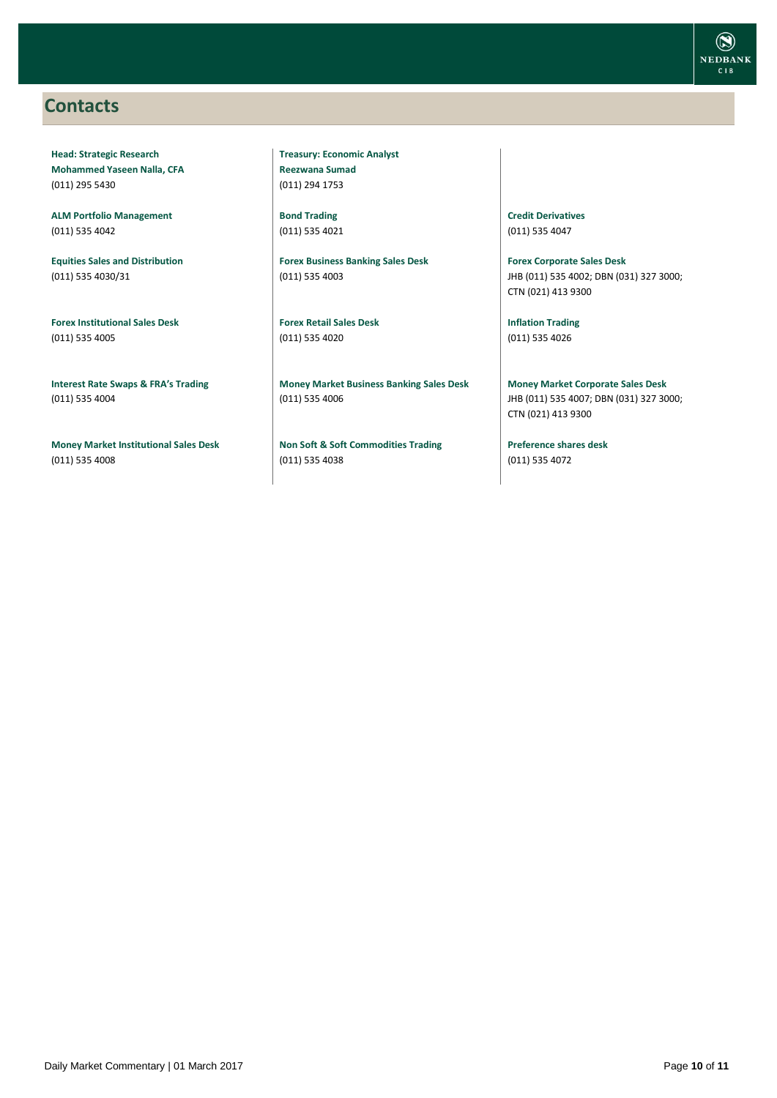### <span id="page-9-0"></span>**Contacts**

**Head: Strategic Research Mohammed Yaseen Nalla, CFA** (011) 295 5430

**ALM Portfolio Management** (011) 535 4042

**Equities Sales and Distribution** (011) 535 4030/31

**Forex Institutional Sales Desk** (011) 535 4005

**Interest Rate Swaps & FRA's Trading** (011) 535 4004

**Money Market Institutional Sales Desk** (011) 535 4008

**Treasury: Economic Analyst Reezwana Sumad** (011) 294 1753

**Bond Trading** (011) 535 4021

**Forex Business Banking Sales Desk** (011) 535 4003

**Forex Retail Sales Desk** (011) 535 4020

**Money Market Business Banking Sales Desk** (011) 535 4006

**Non Soft & Soft Commodities Trading** (011) 535 4038

**Credit Derivatives**  (011) 535 4047

**Forex Corporate Sales Desk** JHB (011) 535 4002; DBN (031) 327 3000; CTN (021) 413 9300

**Inflation Trading** (011) 535 4026

**Money Market Corporate Sales Desk** JHB (011) 535 4007; DBN (031) 327 3000; CTN (021) 413 9300

**Preference shares desk** (011) 535 4072